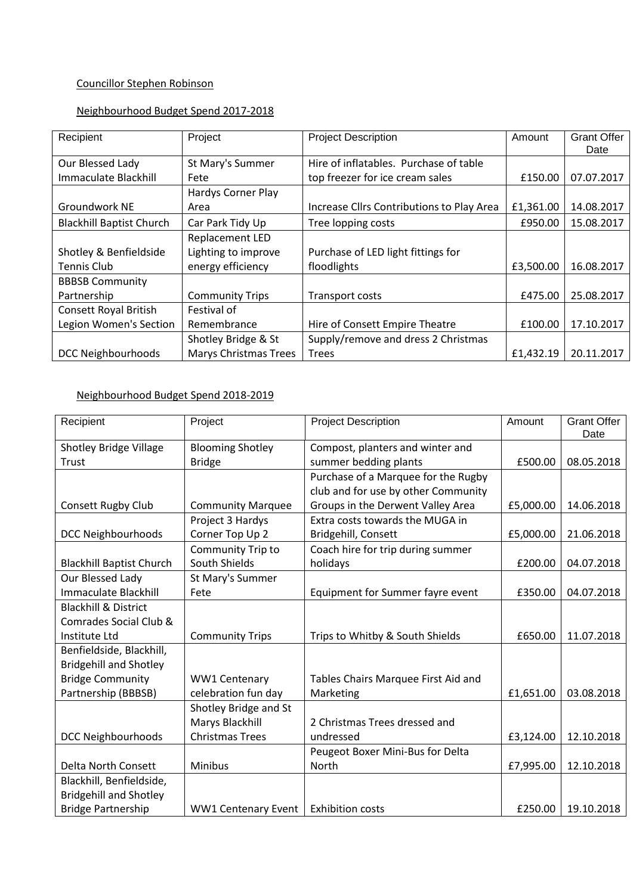## Councillor Stephen Robinson

#### Neighbourhood Budget Spend 2017-2018

| Recipient                       | Project                      | <b>Project Description</b>                | Amount    | <b>Grant Offer</b> |
|---------------------------------|------------------------------|-------------------------------------------|-----------|--------------------|
|                                 |                              |                                           |           | Date               |
| Our Blessed Lady                | St Mary's Summer             | Hire of inflatables. Purchase of table    |           |                    |
| Immaculate Blackhill            | Fete                         | top freezer for ice cream sales           | £150.00   | 07.07.2017         |
|                                 | Hardys Corner Play           |                                           |           |                    |
| Groundwork NE                   | Area                         | Increase Cllrs Contributions to Play Area | £1,361.00 | 14.08.2017         |
| <b>Blackhill Baptist Church</b> | Car Park Tidy Up             | Tree lopping costs                        | £950.00   | 15.08.2017         |
|                                 | Replacement LED              |                                           |           |                    |
| Shotley & Benfieldside          | Lighting to improve          | Purchase of LED light fittings for        |           |                    |
| <b>Tennis Club</b>              | energy efficiency            | floodlights                               | £3,500.00 | 16.08.2017         |
| <b>BBBSB Community</b>          |                              |                                           |           |                    |
| Partnership                     | <b>Community Trips</b>       | Transport costs                           | £475.00   | 25.08.2017         |
| <b>Consett Royal British</b>    | Festival of                  |                                           |           |                    |
| Legion Women's Section          | Remembrance                  | Hire of Consett Empire Theatre            | £100.00   | 17.10.2017         |
|                                 | Shotley Bridge & St          | Supply/remove and dress 2 Christmas       |           |                    |
| <b>DCC Neighbourhoods</b>       | <b>Marys Christmas Trees</b> | <b>Trees</b>                              | £1,432.19 | 20.11.2017         |

## Neighbourhood Budget Spend 2018-2019

| Recipient                       | Project                    | <b>Project Description</b>          | Amount    | <b>Grant Offer</b><br>Date |
|---------------------------------|----------------------------|-------------------------------------|-----------|----------------------------|
| <b>Shotley Bridge Village</b>   | <b>Blooming Shotley</b>    | Compost, planters and winter and    |           |                            |
| Trust                           | <b>Bridge</b>              | summer bedding plants               | £500.00   | 08.05.2018                 |
|                                 |                            | Purchase of a Marquee for the Rugby |           |                            |
|                                 |                            | club and for use by other Community |           |                            |
| <b>Consett Rugby Club</b>       | <b>Community Marquee</b>   | Groups in the Derwent Valley Area   | £5,000.00 | 14.06.2018                 |
|                                 | Project 3 Hardys           | Extra costs towards the MUGA in     |           |                            |
| <b>DCC Neighbourhoods</b>       | Corner Top Up 2            | Bridgehill, Consett                 | £5,000.00 | 21.06.2018                 |
|                                 | Community Trip to          | Coach hire for trip during summer   |           |                            |
| <b>Blackhill Baptist Church</b> | South Shields              | holidays                            | £200.00   | 04.07.2018                 |
| Our Blessed Lady                | St Mary's Summer           |                                     |           |                            |
| <b>Immaculate Blackhill</b>     | Fete                       | Equipment for Summer fayre event    | £350.00   | 04.07.2018                 |
| <b>Blackhill &amp; District</b> |                            |                                     |           |                            |
| Comrades Social Club &          |                            |                                     |           |                            |
| Institute Ltd                   | <b>Community Trips</b>     | Trips to Whitby & South Shields     | £650.00   | 11.07.2018                 |
| Benfieldside, Blackhill,        |                            |                                     |           |                            |
| <b>Bridgehill and Shotley</b>   |                            |                                     |           |                            |
| <b>Bridge Community</b>         | WW1 Centenary              | Tables Chairs Marquee First Aid and |           |                            |
| Partnership (BBBSB)             | celebration fun day        | Marketing                           | £1,651.00 | 03.08.2018                 |
|                                 | Shotley Bridge and St      |                                     |           |                            |
|                                 | Marys Blackhill            | 2 Christmas Trees dressed and       |           |                            |
| <b>DCC Neighbourhoods</b>       | <b>Christmas Trees</b>     | undressed                           | £3,124.00 | 12.10.2018                 |
|                                 |                            | Peugeot Boxer Mini-Bus for Delta    |           |                            |
| Delta North Consett             | Minibus                    | North                               | £7,995.00 | 12.10.2018                 |
| Blackhill, Benfieldside,        |                            |                                     |           |                            |
| <b>Bridgehill and Shotley</b>   |                            |                                     |           |                            |
| <b>Bridge Partnership</b>       | <b>WW1 Centenary Event</b> | <b>Exhibition costs</b>             | £250.00   | 19.10.2018                 |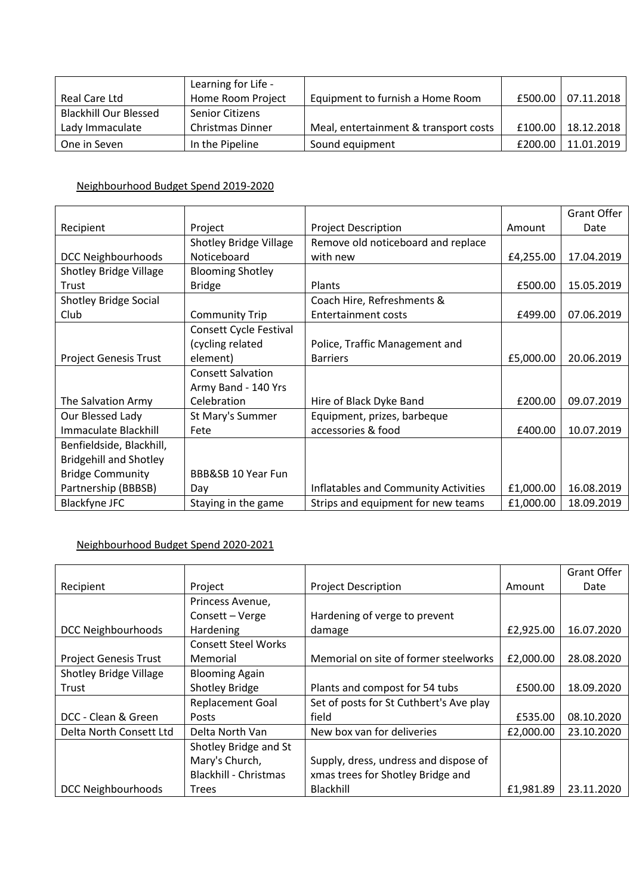|                              | Learning for Life -     |                                       |         |            |
|------------------------------|-------------------------|---------------------------------------|---------|------------|
| Real Care Ltd                | Home Room Project       | Equipment to furnish a Home Room      | £500.00 | 07.11.2018 |
| <b>Blackhill Our Blessed</b> | <b>Senior Citizens</b>  |                                       |         |            |
| Lady Immaculate              | <b>Christmas Dinner</b> | Meal, entertainment & transport costs | £100.00 | 18.12.2018 |
| One in Seven                 | In the Pipeline         | Sound equipment                       | £200.00 | 11.01.2019 |

#### Neighbourhood Budget Spend 2019-2020

|                               |                               |                                      |           | <b>Grant Offer</b> |
|-------------------------------|-------------------------------|--------------------------------------|-----------|--------------------|
| Recipient                     | Project                       | <b>Project Description</b>           | Amount    | Date               |
|                               | <b>Shotley Bridge Village</b> | Remove old noticeboard and replace   |           |                    |
| <b>DCC Neighbourhoods</b>     | Noticeboard                   | with new                             | £4,255.00 | 17.04.2019         |
| <b>Shotley Bridge Village</b> | <b>Blooming Shotley</b>       |                                      |           |                    |
| Trust                         | <b>Bridge</b>                 | <b>Plants</b>                        | £500.00   | 15.05.2019         |
| <b>Shotley Bridge Social</b>  |                               | Coach Hire, Refreshments &           |           |                    |
| Club                          | <b>Community Trip</b>         | Entertainment costs                  | £499.00   | 07.06.2019         |
|                               | Consett Cycle Festival        |                                      |           |                    |
|                               | (cycling related              | Police, Traffic Management and       |           |                    |
| <b>Project Genesis Trust</b>  | element)                      | <b>Barriers</b>                      | £5,000.00 | 20.06.2019         |
|                               | <b>Consett Salvation</b>      |                                      |           |                    |
|                               | Army Band - 140 Yrs           |                                      |           |                    |
| The Salvation Army            | Celebration                   | Hire of Black Dyke Band              | £200.00   | 09.07.2019         |
| Our Blessed Lady              | St Mary's Summer              | Equipment, prizes, barbeque          |           |                    |
| <b>Immaculate Blackhill</b>   | Fete                          | accessories & food                   | £400.00   | 10.07.2019         |
| Benfieldside, Blackhill,      |                               |                                      |           |                    |
| <b>Bridgehill and Shotley</b> |                               |                                      |           |                    |
| <b>Bridge Community</b>       | BBB&SB 10 Year Fun            |                                      |           |                    |
| Partnership (BBBSB)           | Day                           | Inflatables and Community Activities | £1,000.00 | 16.08.2019         |
| <b>Blackfyne JFC</b>          | Staying in the game           | Strips and equipment for new teams   | £1,000.00 | 18.09.2019         |

# Neighbourhood Budget Spend 2020-2021

|                              |                              |                                         |           | <b>Grant Offer</b> |
|------------------------------|------------------------------|-----------------------------------------|-----------|--------------------|
| Recipient                    | Project                      | <b>Project Description</b>              | Amount    | Date               |
|                              | Princess Avenue,             |                                         |           |                    |
|                              | Consett - Verge              | Hardening of verge to prevent           |           |                    |
| <b>DCC Neighbourhoods</b>    | Hardening                    | damage                                  | £2,925.00 | 16.07.2020         |
|                              | <b>Consett Steel Works</b>   |                                         |           |                    |
| <b>Project Genesis Trust</b> | Memorial                     | Memorial on site of former steelworks   | £2,000.00 | 28.08.2020         |
| Shotley Bridge Village       | <b>Blooming Again</b>        |                                         |           |                    |
| Trust                        | <b>Shotley Bridge</b>        | Plants and compost for 54 tubs          | £500.00   | 18.09.2020         |
|                              | <b>Replacement Goal</b>      | Set of posts for St Cuthbert's Ave play |           |                    |
| DCC - Clean & Green          | Posts                        | field                                   | £535.00   | 08.10.2020         |
| Delta North Consett Ltd      | Delta North Van              | New box van for deliveries              | £2,000.00 | 23.10.2020         |
|                              | Shotley Bridge and St        |                                         |           |                    |
|                              | Mary's Church,               | Supply, dress, undress and dispose of   |           |                    |
|                              | <b>Blackhill - Christmas</b> | xmas trees for Shotley Bridge and       |           |                    |
| <b>DCC Neighbourhoods</b>    | <b>Trees</b>                 | Blackhill                               | £1,981.89 | 23.11.2020         |